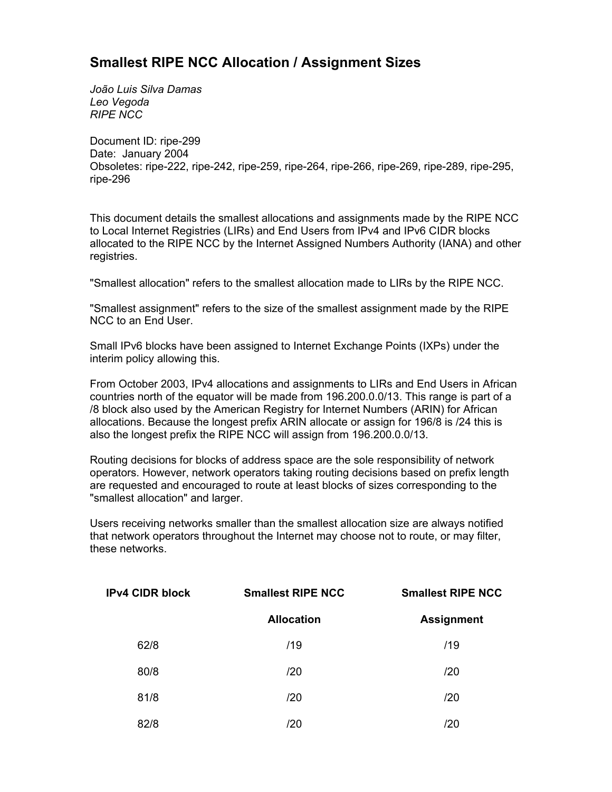## **Smallest RIPE NCC Allocation / Assignment Sizes**

*João Luis Silva Damas Leo Vegoda RIPE NCC*

Document ID: ripe-299 Date: January 2004 Obsoletes: ripe-222, ripe-242, ripe-259, ripe-264, ripe-266, ripe-269, ripe-289, ripe-295, ripe-296

This document details the smallest allocations and assignments made by the RIPE NCC to Local Internet Registries (LIRs) and End Users from IPv4 and IPv6 CIDR blocks allocated to the RIPE NCC by the Internet Assigned Numbers Authority (IANA) and other registries.

"Smallest allocation" refers to the smallest allocation made to LIRs by the RIPE NCC.

"Smallest assignment" refers to the size of the smallest assignment made by the RIPE NCC to an End User.

Small IPv6 blocks have been assigned to Internet Exchange Points (IXPs) under the interim policy allowing this.

From October 2003, IPv4 allocations and assignments to LIRs and End Users in African countries north of the equator will be made from 196.200.0.0/13. This range is part of a /8 block also used by the American Registry for Internet Numbers (ARIN) for African allocations. Because the longest prefix ARIN allocate or assign for 196/8 is /24 this is also the longest prefix the RIPE NCC will assign from 196.200.0.0/13.

Routing decisions for blocks of address space are the sole responsibility of network operators. However, network operators taking routing decisions based on prefix length are requested and encouraged to route at least blocks of sizes corresponding to the "smallest allocation" and larger.

Users receiving networks smaller than the smallest allocation size are always notified that network operators throughout the Internet may choose not to route, or may filter, these networks.

| <b>IPv4 CIDR block</b> | <b>Smallest RIPE NCC</b> | <b>Smallest RIPE NCC</b> |  |
|------------------------|--------------------------|--------------------------|--|
|                        | <b>Allocation</b>        | <b>Assignment</b>        |  |
| 62/8                   | /19                      | /19                      |  |
| 80/8                   | /20                      | /20                      |  |
| 81/8                   | /20                      | /20                      |  |
| 82/8                   | /20                      | /20                      |  |